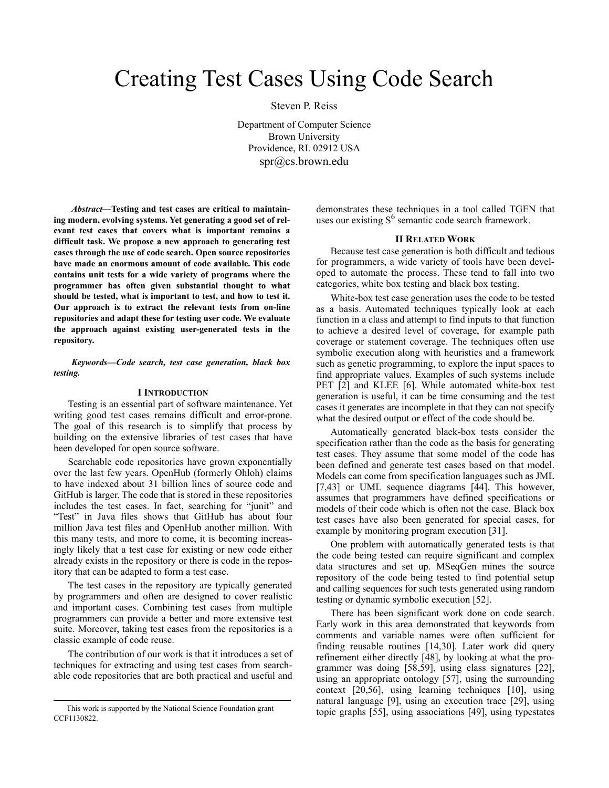# Creating Test Cases Using Code Search

Steven P. Reiss

Department of Computer Science Brown University Providence, RI. 02912 USA spr@cs.brown.edu

*Abstract—***Testing and test cases are critical to maintaining modern, evolving systems. Yet generating a good set of relevant test cases that covers what is important remains a difficult task. We propose a new approach to generating test cases through the use of code search. Open source repositories have made an enormous amount of code available. This code contains unit tests for a wide variety of programs where the programmer has often given substantial thought to what should be tested, what is important to test, and how to test it. Our approach is to extract the relevant tests from on-line repositories and adapt these for testing user code. We evaluate the approach against existing user-generated tests in the repository.**

*Keywords—Code search, test case generation, black box testing.*

# **I INTRODUCTION**

Testing is an essential part of software maintenance. Yet writing good test cases remains difficult and error-prone. The goal of this research is to simplify that process by building on the extensive libraries of test cases that have been developed for open source software.

Searchable code repositories have grown exponentially over the last few years. OpenHub (formerly Ohloh) claims to have indexed about 31 billion lines of source code and GitHub is larger. The code that is stored in these repositories includes the test cases. In fact, searching for "junit" and "Test" in Java files shows that GitHub has about four million Java test files and OpenHub another million. With this many tests, and more to come, it is becoming increasingly likely that a test case for existing or new code either already exists in the repository or there is code in the repository that can be adapted to form a test case.

The test cases in the repository are typically generated by programmers and often are designed to cover realistic and important cases. Combining test cases from multiple programmers can provide a better and more extensive test suite. Moreover, taking test cases from the repositories is a classic example of code reuse.

The contribution of our work is that it introduces a set of techniques for extracting and using test cases from searchable code repositories that are both practical and useful and demonstrates these techniques in a tool called TGEN that uses our existing  $S^6$  semantic code search framework.

## **II RELATED WORK**

Because test case generation is both difficult and tedious for programmers, a wide variety of tools have been developed to automate the process. These tend to fall into two categories, white box testing and black box testing.

White-box test case generation uses the code to be tested as a basis. Automated techniques typically look at each function in a class and attempt to find inputs to that function to achieve a desired level of coverage, for example path coverage or statement coverage. The techniques often use symbolic execution along with heuristics and a framework such as genetic programming, to explore the input spaces to find appropriate values. Examples of such systems include PET [2] and KLEE [6]. While automated white-box test generation is useful, it can be time consuming and the test cases it generates are incomplete in that they can not specify what the desired output or effect of the code should be.

Automatically generated black-box tests consider the specification rather than the code as the basis for generating test cases. They assume that some model of the code has been defined and generate test cases based on that model. Models can come from specification languages such as JML [7,43] or UML sequence diagrams [44]. This however, assumes that programmers have defined specifications or models of their code which is often not the case. Black box test cases have also been generated for special cases, for example by monitoring program execution [31].

One problem with automatically generated tests is that the code being tested can require significant and complex data structures and set up. MSeqGen mines the source repository of the code being tested to find potential setup and calling sequences for such tests generated using random testing or dynamic symbolic execution [52].

There has been significant work done on code search. Early work in this area demonstrated that keywords from comments and variable names were often sufficient for finding reusable routines [14,30]. Later work did query refinement either directly [48], by looking at what the programmer was doing [58,59], using class signatures [22], using an appropriate ontology [57], using the surrounding context [20,56], using learning techniques [10], using natural language [9], using an execution trace [29], using topic graphs [55], using associations [49], using typestates

This work is supported by the National Science Foundation grant CCF1130822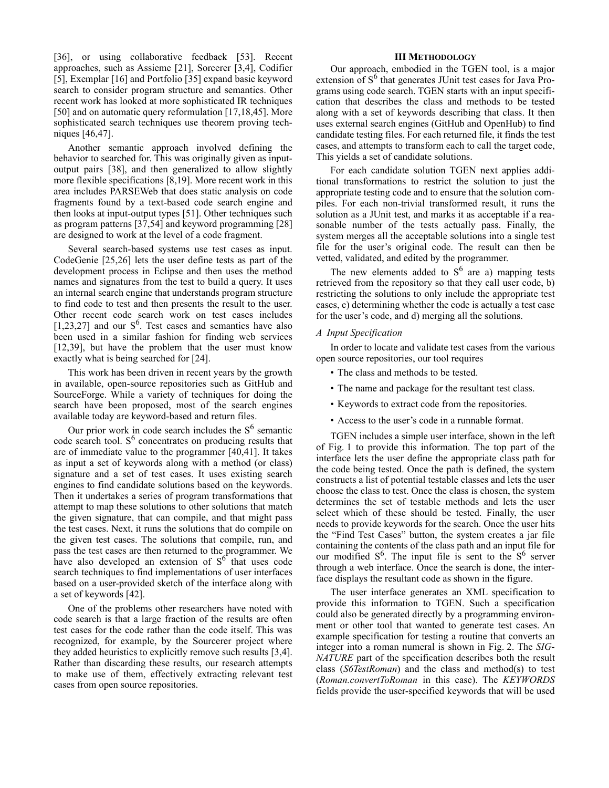[36], or using collaborative feedback [53]. Recent approaches, such as Assieme [21], Sorcerer [3,4], Codifier [5], Exemplar [16] and Portfolio [35] expand basic keyword search to consider program structure and semantics. Other recent work has looked at more sophisticated IR techniques [50] and on automatic query reformulation [17,18,45]. More sophisticated search techniques use theorem proving techniques [46,47].

Another semantic approach involved defining the behavior to searched for. This was originally given as inputoutput pairs [38], and then generalized to allow slightly more flexible specifications [8,19]. More recent work in this area includes PARSEWeb that does static analysis on code fragments found by a text-based code search engine and then looks at input-output types [51]. Other techniques such as program patterns [37,54] and keyword programming [28] are designed to work at the level of a code fragment.

Several search-based systems use test cases as input. CodeGenie [25,26] lets the user define tests as part of the development process in Eclipse and then uses the method names and signatures from the test to build a query. It uses an internal search engine that understands program structure to find code to test and then presents the result to the user. Other recent code search work on test cases includes [1,23,27] and our  $S^6$ . Test cases and semantics have also been used in a similar fashion for finding web services [12,39], but have the problem that the user must know exactly what is being searched for [24].

This work has been driven in recent years by the growth in available, open-source repositories such as GitHub and SourceForge. While a variety of techniques for doing the search have been proposed, most of the search engines available today are keyword-based and return files.

Our prior work in code search includes the  $S<sup>6</sup>$  semantic code search tool.  $S^6$  concentrates on producing results that are of immediate value to the programmer [40,41]. It takes as input a set of keywords along with a method (or class) signature and a set of test cases. It uses existing search engines to find candidate solutions based on the keywords. Then it undertakes a series of program transformations that attempt to map these solutions to other solutions that match the given signature, that can compile, and that might pass the test cases. Next, it runs the solutions that do compile on the given test cases. The solutions that compile, run, and pass the test cases are then returned to the programmer. We have also developed an extension of  $S<sup>6</sup>$  that uses code search techniques to find implementations of user interfaces based on a user-provided sketch of the interface along with a set of keywords [42].

One of the problems other researchers have noted with code search is that a large fraction of the results are often test cases for the code rather than the code itself. This was recognized, for example, by the Sourcerer project where they added heuristics to explicitly remove such results [3,4]. Rather than discarding these results, our research attempts to make use of them, effectively extracting relevant test cases from open source repositories.

## **III METHODOLOGY**

Our approach, embodied in the TGEN tool, is a major extension of S<sup>6</sup> that generates JUnit test cases for Java Programs using code search. TGEN starts with an input specification that describes the class and methods to be tested along with a set of keywords describing that class. It then uses external search engines (GitHub and OpenHub) to find candidate testing files. For each returned file, it finds the test cases, and attempts to transform each to call the target code, This yields a set of candidate solutions.

For each candidate solution TGEN next applies additional transformations to restrict the solution to just the appropriate testing code and to ensure that the solution compiles. For each non-trivial transformed result, it runs the solution as a JUnit test, and marks it as acceptable if a reasonable number of the tests actually pass. Finally, the system merges all the acceptable solutions into a single test file for the user's original code. The result can then be vetted, validated, and edited by the programmer.

The new elements added to  $S^6$  are a) mapping tests retrieved from the repository so that they call user code, b) restricting the solutions to only include the appropriate test cases, c) determining whether the code is actually a test case for the user's code, and d) merging all the solutions.

# *A Input Specification*

In order to locate and validate test cases from the various open source repositories, our tool requires

- The class and methods to be tested.
- The name and package for the resultant test class.
- Keywords to extract code from the repositories.
- Access to the user's code in a runnable format.

TGEN includes a simple user interface, shown in the left of Fig. 1 to provide this information. The top part of the interface lets the user define the appropriate class path for the code being tested. Once the path is defined, the system constructs a list of potential testable classes and lets the user choose the class to test. Once the class is chosen, the system determines the set of testable methods and lets the user select which of these should be tested. Finally, the user needs to provide keywords for the search. Once the user hits the "Find Test Cases" button, the system creates a jar file containing the contents of the class path and an input file for our modified  $S^6$ . The input file is sent to the  $S^6$  server through a web interface. Once the search is done, the interface displays the resultant code as shown in the figure.

The user interface generates an XML specification to provide this information to TGEN. Such a specification could also be generated directly by a programming environment or other tool that wanted to generate test cases. An example specification for testing a routine that converts an integer into a roman numeral is shown in Fig. 2. The *SIG-NATURE* part of the specification describes both the result class (*S6TestRoman*) and the class and method(s) to test (*Roman.convertToRoman* in this case). The *KEYWORDS* fields provide the user-specified keywords that will be used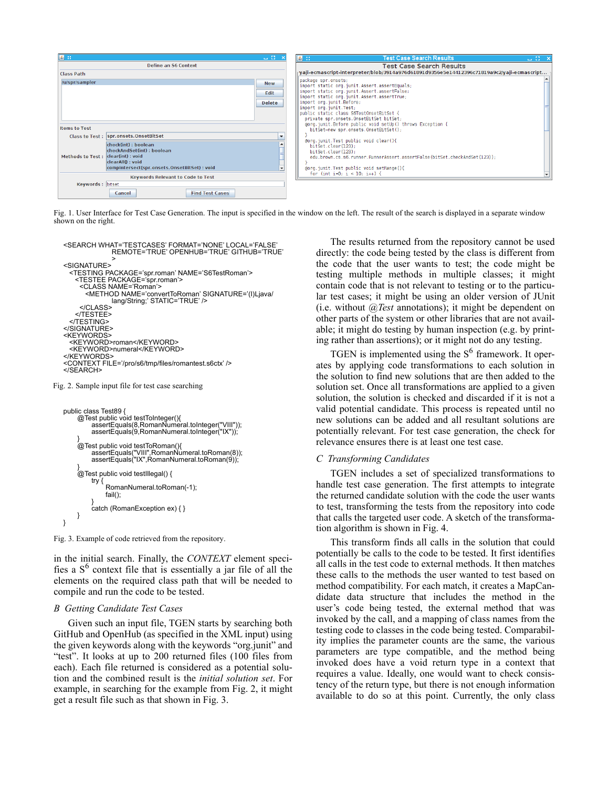

Fig. 1. User Interface for Test Case Generation. The input is specified in the window on the left. The result of the search is displayed in a separate window shown on the right.



Fig. 2. Sample input file for test case searching

```
public class Test89 {
     @Test public void testToInteger(){
          assertEquals(8,RomanNumeral.toInteger("VIII"));
          assertEquals(9,RomanNumeral.toInteger("IX"));
      }
@Test public void testToRoman(){
           assertEquals("VIII",RomanNumeral.toRoman(8));
assertEquals("IX",RomanNumeral.toRoman(9));
      }
@Test public void testIllegal() {
          try {
               RomanNumeral.toRoman(-1);
               fail();
           }
catch (RomanException ex) { }
    }
}
```
Fig. 3. Example of code retrieved from the repository.

in the initial search. Finally, the *CONTEXT* element specifies a  $S<sup>6</sup>$  context file that is essentially a jar file of all the elements on the required class path that will be needed to compile and run the code to be tested.

#### *B Getting Candidate Test Cases*

Given such an input file, TGEN starts by searching both GitHub and OpenHub (as specified in the XML input) using the given keywords along with the keywords "org.junit" and "test". It looks at up to 200 returned files (100 files from each). Each file returned is considered as a potential solution and the combined result is the *initial solution set*. For example, in searching for the example from Fig. 2, it might get a result file such as that shown in Fig. 3.

The results returned from the repository cannot be used directly: the code being tested by the class is different from the code that the user wants to test; the code might be testing multiple methods in multiple classes; it might contain code that is not relevant to testing or to the particular test cases; it might be using an older version of JUnit (i.e. without *@Test* annotations); it might be dependent on other parts of the system or other libraries that are not available; it might do testing by human inspection (e.g. by printing rather than assertions); or it might not do any testing.

TGEN is implemented using the  $S<sup>6</sup>$  framework. It operates by applying code transformations to each solution in the solution to find new solutions that are then added to the solution set. Once all transformations are applied to a given solution, the solution is checked and discarded if it is not a valid potential candidate. This process is repeated until no new solutions can be added and all resultant solutions are potentially relevant. For test case generation, the check for relevance ensures there is at least one test case.

# *C Transforming Candidates*

TGEN includes a set of specialized transformations to handle test case generation. The first attempts to integrate the returned candidate solution with the code the user wants to test, transforming the tests from the repository into code that calls the targeted user code. A sketch of the transformation algorithm is shown in Fig. 4.

This transform finds all calls in the solution that could potentially be calls to the code to be tested. It first identifies all calls in the test code to external methods. It then matches these calls to the methods the user wanted to test based on method compatibility. For each match, it creates a MapCandidate data structure that includes the method in the user's code being tested, the external method that was invoked by the call, and a mapping of class names from the testing code to classes in the code being tested. Comparability implies the parameter counts are the same, the various parameters are type compatible, and the method being invoked does have a void return type in a context that requires a value. Ideally, one would want to check consistency of the return type, but there is not enough information available to do so at this point. Currently, the only class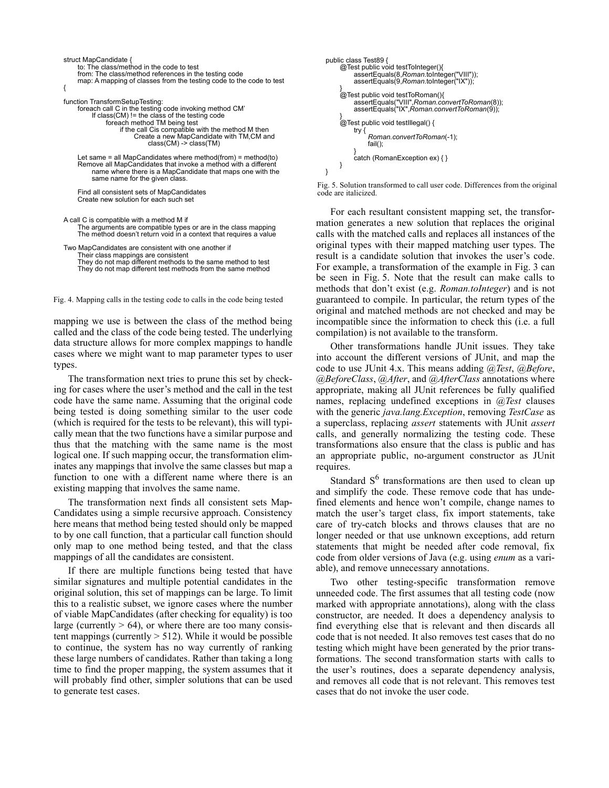| struct MapCandidate {<br>to: The class/method in the code to test<br>from: The class/method references in the testing code<br>map: A mapping of classes from the testing code to the code to test                                                                                                                     |  |
|-----------------------------------------------------------------------------------------------------------------------------------------------------------------------------------------------------------------------------------------------------------------------------------------------------------------------|--|
| function TransformSetupTesting:<br>foreach call C in the testing code invoking method CM'<br>If class $(CM)$ ! = the class of the testing code<br>foreach method TM being test<br>if the call Cis compatible with the method M then<br>Create a new MapCandidate with TM, CM and<br>$class(CM) \rightarrow class(TM)$ |  |
| Let same = all MapCandidates where method(from) = method(to)<br>Remove all MapCandidates that invoke a method with a different<br>name where there is a MapCandidate that maps one with the<br>same name for the given class.<br>Find all consistent sets of MapCandidates                                            |  |
| Create new solution for each such set<br>A call C is compatible with a method M if<br>The arguments are compatible types or are in the class mapping<br>The method doesn't return void in a context that requires a value                                                                                             |  |
| .                                                                                                                                                                                                                                                                                                                     |  |

Two MapCandidates are consistent with one another if Their class mappings are consistent They do not map different methods to the same method to test They do not map different test methods from the same method

Fig. 4. Mapping calls in the testing code to calls in the code being tested

mapping we use is between the class of the method being called and the class of the code being tested. The underlying data structure allows for more complex mappings to handle cases where we might want to map parameter types to user types.

The transformation next tries to prune this set by checking for cases where the user's method and the call in the test code have the same name. Assuming that the original code being tested is doing something similar to the user code (which is required for the tests to be relevant), this will typically mean that the two functions have a similar purpose and thus that the matching with the same name is the most logical one. If such mapping occur, the transformation eliminates any mappings that involve the same classes but map a function to one with a different name where there is an existing mapping that involves the same name.

The transformation next finds all consistent sets Map-Candidates using a simple recursive approach. Consistency here means that method being tested should only be mapped to by one call function, that a particular call function should only map to one method being tested, and that the class mappings of all the candidates are consistent.

If there are multiple functions being tested that have similar signatures and multiple potential candidates in the original solution, this set of mappings can be large. To limit this to a realistic subset, we ignore cases where the number of viable MapCandidates (after checking for equality) is too large (currently  $> 64$ ), or where there are too many consistent mappings (currently  $> 512$ ). While it would be possible to continue, the system has no way currently of ranking these large numbers of candidates. Rather than taking a long time to find the proper mapping, the system assumes that it will probably find other, simpler solutions that can be used to generate test cases.

```
public class Test89 {
      @Test public void testToInteger(){
assertEquals(8,Roman.toInteger("VIII"));
assertEquals(9,Roman.toInteger("IX"));
      }
@Test public void testToRoman(){
           assertEquals("VIII",Roman.convertToRoman(8));
           assertEquals("IX",Roman.convertToRoman(9));
      }
@Test public void testIllegal() {
           try {
                 Roman.convertToRoman(-1);
                 fail();
            }
catch (RomanException ex) { }
     }
}
```
Fig. 5. Solution transformed to call user code. Differences from the original code are italicized.

For each resultant consistent mapping set, the transformation generates a new solution that replaces the original calls with the matched calls and replaces all instances of the original types with their mapped matching user types. The result is a candidate solution that invokes the user's code. For example, a transformation of the example in Fig. 3 can be seen in Fig. 5. Note that the result can make calls to methods that don't exist (e.g. *Roman.toInteger*) and is not guaranteed to compile. In particular, the return types of the original and matched methods are not checked and may be incompatible since the information to check this (i.e. a full compilation) is not available to the transform.

Other transformations handle JUnit issues. They take into account the different versions of JUnit, and map the code to use JUnit 4.x. This means adding *@Test*, *@Before*, *@BeforeClass*, *@After*, and *@AfterClass* annotations where appropriate, making all JUnit references be fully qualified names, replacing undefined exceptions in *@Test* clauses with the generic *java.lang.Exception*, removing *TestCase* as a superclass, replacing *assert* statements with JUnit *assert* calls, and generally normalizing the testing code. These transformations also ensure that the class is public and has an appropriate public, no-argument constructor as JUnit requires.

Standard  $S<sup>6</sup>$  transformations are then used to clean up and simplify the code. These remove code that has undefined elements and hence won't compile, change names to match the user's target class, fix import statements, take care of try-catch blocks and throws clauses that are no longer needed or that use unknown exceptions, add return statements that might be needed after code removal, fix code from older versions of Java (e.g. using *enum* as a variable), and remove unnecessary annotations.

Two other testing-specific transformation remove unneeded code. The first assumes that all testing code (now marked with appropriate annotations), along with the class constructor, are needed. It does a dependency analysis to find everything else that is relevant and then discards all code that is not needed. It also removes test cases that do no testing which might have been generated by the prior transformations. The second transformation starts with calls to the user's routines, does a separate dependency analysis, and removes all code that is not relevant. This removes test cases that do not invoke the user code.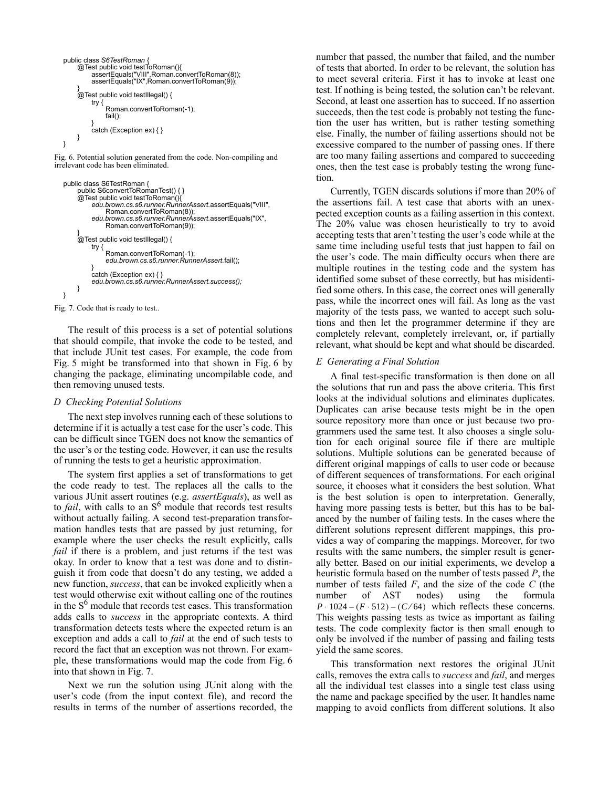```
public class S6TestRoman {
      @Test public void testToRoman(){
            assertEquals("VIII",Roman.convertToRoman(8));
assertEquals("IX",Roman.convertToRoman(9));
      }
@Test public void testIllegal() {
           try {
                 Roman.convertToRoman(-1);
                 fail();
            }
           catch (Exception ex) { }
     }
}
```
Fig. 6. Potential solution generated from the code. Non-compiling and irrelevant code has been eliminated.

```
public class S6TestRoman {
         public S6convertToRomanTest() { }
@Test public void testToRoman(){
              edu.brown.cs.s6.runner.RunnerAssert.assertEquals("VIII",
               Roman.convertToRoman(8));
edu.brown.cs.s6.runner.RunnerAssert.assertEquals("IX",
                    Roman.convertToRoman(9));
         }
@Test public void testIllegal() {
              try {
                    Roman.convertToRoman(-1);
                    edu.brown.cs.s6.runner.RunnerAssert.fail();
               }
catch (Exception ex) { }
edu.brown.cs.s6.runner.RunnerAssert.success();
         }
   }
Fig. 7. Code that is ready to test..
```
The result of this process is a set of potential solutions that should compile, that invoke the code to be tested, and that include JUnit test cases. For example, the code from Fig. 5 might be transformed into that shown in Fig. 6 by changing the package, eliminating uncompilable code, and then removing unused tests.

# *D Checking Potential Solutions*

The next step involves running each of these solutions to determine if it is actually a test case for the user's code. This can be difficult since TGEN does not know the semantics of the user's or the testing code. However, it can use the results of running the tests to get a heuristic approximation.

The system first applies a set of transformations to get the code ready to test. The replaces all the calls to the various JUnit assert routines (e.g. *assertEquals*), as well as to *fail*, with calls to an S<sup>6</sup> module that records test results without actually failing. A second test-preparation transformation handles tests that are passed by just returning, for example where the user checks the result explicitly, calls *fail* if there is a problem, and just returns if the test was okay. In order to know that a test was done and to distinguish it from code that doesn't do any testing, we added a new function, *success*, that can be invoked explicitly when a test would otherwise exit without calling one of the routines in the  $S<sup>6</sup>$  module that records test cases. This transformation adds calls to *success* in the appropriate contexts. A third transformation detects tests where the expected return is an exception and adds a call to *fail* at the end of such tests to record the fact that an exception was not thrown. For example, these transformations would map the code from Fig. 6 into that shown in Fig. 7.

Next we run the solution using JUnit along with the user's code (from the input context file), and record the results in terms of the number of assertions recorded, the number that passed, the number that failed, and the number of tests that aborted. In order to be relevant, the solution has to meet several criteria. First it has to invoke at least one test. If nothing is being tested, the solution can't be relevant. Second, at least one assertion has to succeed. If no assertion succeeds, then the test code is probably not testing the function the user has written, but is rather testing something else. Finally, the number of failing assertions should not be excessive compared to the number of passing ones. If there are too many failing assertions and compared to succeeding ones, then the test case is probably testing the wrong function.

Currently, TGEN discards solutions if more than 20% of the assertions fail. A test case that aborts with an unexpected exception counts as a failing assertion in this context. The 20% value was chosen heuristically to try to avoid accepting tests that aren't testing the user's code while at the same time including useful tests that just happen to fail on the user's code. The main difficulty occurs when there are multiple routines in the testing code and the system has identified some subset of these correctly, but has misidentified some others. In this case, the correct ones will generally pass, while the incorrect ones will fail. As long as the vast majority of the tests pass, we wanted to accept such solutions and then let the programmer determine if they are completely relevant, completely irrelevant, or, if partially relevant, what should be kept and what should be discarded.

# *E Generating a Final Solution*

A final test-specific transformation is then done on all the solutions that run and pass the above criteria. This first looks at the individual solutions and eliminates duplicates. Duplicates can arise because tests might be in the open source repository more than once or just because two programmers used the same test. It also chooses a single solution for each original source file if there are multiple solutions. Multiple solutions can be generated because of different original mappings of calls to user code or because of different sequences of transformations. For each original source, it chooses what it considers the best solution. What is the best solution is open to interpretation. Generally, having more passing tests is better, but this has to be balanced by the number of failing tests. In the cases where the different solutions represent different mappings, this provides a way of comparing the mappings. Moreover, for two results with the same numbers, the simpler result is generally better. Based on our initial experiments, we develop a heuristic formula based on the number of tests passed *P*, the number of tests failed *F*, and the size of the code *C* (the number of AST nodes) using the formula  $P \cdot 1024 - (F \cdot 512) - (C/64)$  which reflects these concerns. This weights passing tests as twice as important as failing tests. The code complexity factor is then small enough to only be involved if the number of passing and failing tests yield the same scores.

This transformation next restores the original JUnit calls, removes the extra calls to *success* and *fail*, and merges all the individual test classes into a single test class using the name and package specified by the user. It handles name mapping to avoid conflicts from different solutions. It also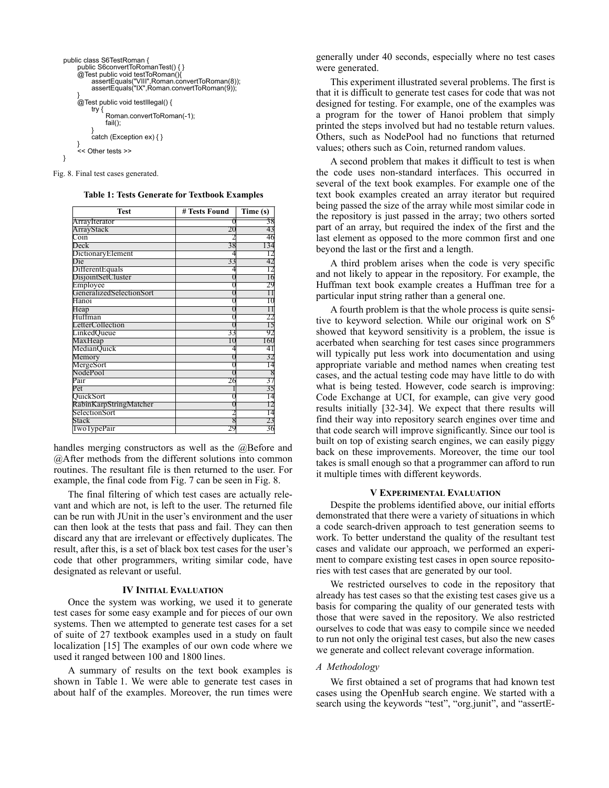```
public class S6TestRoman {
     public S6convertToRomanTest() { }
@Test public void testToRoman(){
          assertEquals("VIII",Roman.convertToRoman(8));
          assertEquals("IX",Roman.convertToRoman(9));
     }
@Test public void testIllegal() {
          try {
               Roman.convertToRoman(-1);
               fail();
           }
catch (Exception ex) { }
     }
     << Other tests >>
}
```
Fig. 8. Final test cases generated.

| <b>Test</b>              | # Tests Found | Time (s) |
|--------------------------|---------------|----------|
| ArrayIterator            |               |          |
| ArrayStack               | 20            |          |
| Coin                     |               |          |
| Deck                     | 38            |          |
| DictionaryElement        |               |          |
| Die                      | 33            |          |
| Different Equals         |               |          |
| DisjointSetCluster       |               |          |
| Employee                 |               |          |
| GeneralizedSelectionSort |               |          |
| Hanoi                    |               |          |
| Heap                     |               |          |
| Huffman                  |               |          |
| LetterCollection         |               |          |
| LinkedQueue              | 33            |          |
| MaxHeap                  |               | 160      |
| MedianQuick              |               | 4        |
| Memory                   |               |          |
| MergeSort                |               |          |
| NodePool                 |               |          |
| Pair                     | 26            |          |
| Pet                      |               |          |
| QuickSort                |               |          |
| RabinKarpStringMatcher   |               |          |
| SelectionSort            |               |          |
| Stack                    | 8             |          |
| I wo I ypePair           |               | 36       |

handles merging constructors as well as the @Before and @After methods from the different solutions into common routines. The resultant file is then returned to the user. For example, the final code from Fig. 7 can be seen in Fig. 8.

The final filtering of which test cases are actually relevant and which are not, is left to the user. The returned file can be run with JUnit in the user's environment and the user can then look at the tests that pass and fail. They can then discard any that are irrelevant or effectively duplicates. The result, after this, is a set of black box test cases for the user's code that other programmers, writing similar code, have designated as relevant or useful.

#### **IV INITIAL EVALUATION**

Once the system was working, we used it to generate test cases for some easy example and for pieces of our own systems. Then we attempted to generate test cases for a set of suite of 27 textbook examples used in a study on fault localization [15] The examples of our own code where we used it ranged between 100 and 1800 lines.

A summary of results on the text book examples is shown in Table 1. We were able to generate test cases in about half of the examples. Moreover, the run times were generally under 40 seconds, especially where no test cases were generated.

This experiment illustrated several problems. The first is that it is difficult to generate test cases for code that was not designed for testing. For example, one of the examples was a program for the tower of Hanoi problem that simply printed the steps involved but had no testable return values. Others, such as NodePool had no functions that returned values; others such as Coin, returned random values.

A second problem that makes it difficult to test is when the code uses non-standard interfaces. This occurred in several of the text book examples. For example one of the text book examples created an array iterator but required being passed the size of the array while most similar code in the repository is just passed in the array; two others sorted part of an array, but required the index of the first and the last element as opposed to the more common first and one beyond the last or the first and a length.

A third problem arises when the code is very specific and not likely to appear in the repository. For example, the Huffman text book example creates a Huffman tree for a particular input string rather than a general one.

A fourth problem is that the whole process is quite sensitive to keyword selection. While our original work on  $S<sup>6</sup>$ showed that keyword sensitivity is a problem, the issue is acerbated when searching for test cases since programmers will typically put less work into documentation and using appropriate variable and method names when creating test cases, and the actual testing code may have little to do with what is being tested. However, code search is improving: Code Exchange at UCI, for example, can give very good results initially [32-34]. We expect that there results will find their way into repository search engines over time and that code search will improve significantly. Since our tool is built on top of existing search engines, we can easily piggy back on these improvements. Moreover, the time our tool takes is small enough so that a programmer can afford to run it multiple times with different keywords.

#### **V EXPERIMENTAL EVALUATION**

Despite the problems identified above, our initial efforts demonstrated that there were a variety of situations in which a code search-driven approach to test generation seems to work. To better understand the quality of the resultant test cases and validate our approach, we performed an experiment to compare existing test cases in open source repositories with test cases that are generated by our tool.

We restricted ourselves to code in the repository that already has test cases so that the existing test cases give us a basis for comparing the quality of our generated tests with those that were saved in the repository. We also restricted ourselves to code that was easy to compile since we needed to run not only the original test cases, but also the new cases we generate and collect relevant coverage information.

# *A Methodology*

We first obtained a set of programs that had known test cases using the OpenHub search engine. We started with a search using the keywords "test", "org.junit", and "assertE-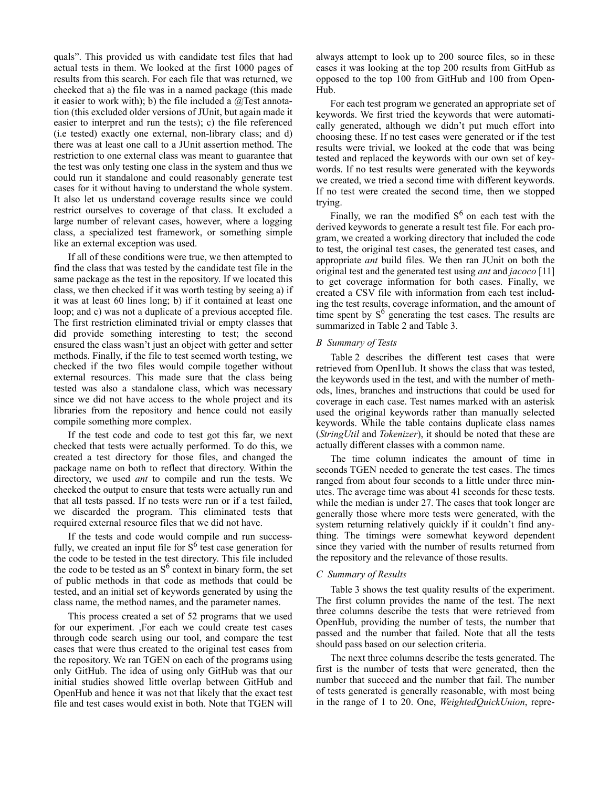quals". This provided us with candidate test files that had actual tests in them. We looked at the first 1000 pages of results from this search. For each file that was returned, we checked that a) the file was in a named package (this made it easier to work with); b) the file included a  $@$ Test annotation (this excluded older versions of JUnit, but again made it easier to interpret and run the tests); c) the file referenced (i.e tested) exactly one external, non-library class; and d) there was at least one call to a JUnit assertion method. The restriction to one external class was meant to guarantee that the test was only testing one class in the system and thus we could run it standalone and could reasonably generate test cases for it without having to understand the whole system. It also let us understand coverage results since we could restrict ourselves to coverage of that class. It excluded a large number of relevant cases, however, where a logging class, a specialized test framework, or something simple like an external exception was used.

If all of these conditions were true, we then attempted to find the class that was tested by the candidate test file in the same package as the test in the repository. If we located this class, we then checked if it was worth testing by seeing a) if it was at least 60 lines long; b) if it contained at least one loop; and c) was not a duplicate of a previous accepted file. The first restriction eliminated trivial or empty classes that did provide something interesting to test; the second ensured the class wasn't just an object with getter and setter methods. Finally, if the file to test seemed worth testing, we checked if the two files would compile together without external resources. This made sure that the class being tested was also a standalone class, which was necessary since we did not have access to the whole project and its libraries from the repository and hence could not easily compile something more complex.

If the test code and code to test got this far, we next checked that tests were actually performed. To do this, we created a test directory for those files, and changed the package name on both to reflect that directory. Within the directory, we used *ant* to compile and run the tests. We checked the output to ensure that tests were actually run and that all tests passed. If no tests were run or if a test failed, we discarded the program. This eliminated tests that required external resource files that we did not have.

If the tests and code would compile and run successfully, we created an input file for  $S<sup>6</sup>$  test case generation for the code to be tested in the test directory. This file included the code to be tested as an  $S^6$  context in binary form, the set of public methods in that code as methods that could be tested, and an initial set of keywords generated by using the class name, the method names, and the parameter names.

This process created a set of 52 programs that we used for our experiment. ,For each we could create test cases through code search using our tool, and compare the test cases that were thus created to the original test cases from the repository. We ran TGEN on each of the programs using only GitHub. The idea of using only GitHub was that our initial studies showed little overlap between GitHub and OpenHub and hence it was not that likely that the exact test file and test cases would exist in both. Note that TGEN will

always attempt to look up to 200 source files, so in these cases it was looking at the top 200 results from GitHub as opposed to the top 100 from GitHub and 100 from Open-Hub.

For each test program we generated an appropriate set of keywords. We first tried the keywords that were automatically generated, although we didn't put much effort into choosing these. If no test cases were generated or if the test results were trivial, we looked at the code that was being tested and replaced the keywords with our own set of keywords. If no test results were generated with the keywords we created, we tried a second time with different keywords. If no test were created the second time, then we stopped trying.

Finally, we ran the modified  $S^6$  on each test with the derived keywords to generate a result test file. For each program, we created a working directory that included the code to test, the original test cases, the generated test cases, and appropriate *ant* build files. We then ran JUnit on both the original test and the generated test using *ant* and *jacoco* [11] to get coverage information for both cases. Finally, we created a CSV file with information from each test including the test results, coverage information, and the amount of time spent by  $S^6$  generating the test cases. The results are summarized in Table 2 and Table 3.

# *B Summary of Tests*

Table 2 describes the different test cases that were retrieved from OpenHub. It shows the class that was tested, the keywords used in the test, and with the number of methods, lines, branches and instructions that could be used for coverage in each case. Test names marked with an asterisk used the original keywords rather than manually selected keywords. While the table contains duplicate class names (*StringUtil* and *Tokenizer*), it should be noted that these are actually different classes with a common name.

The time column indicates the amount of time in seconds TGEN needed to generate the test cases. The times ranged from about four seconds to a little under three minutes. The average time was about 41 seconds for these tests. while the median is under 27. The cases that took longer are generally those where more tests were generated, with the system returning relatively quickly if it couldn't find anything. The timings were somewhat keyword dependent since they varied with the number of results returned from the repository and the relevance of those results.

## *C Summary of Results*

Table 3 shows the test quality results of the experiment. The first column provides the name of the test. The next three columns describe the tests that were retrieved from OpenHub, providing the number of tests, the number that passed and the number that failed. Note that all the tests should pass based on our selection criteria.

The next three columns describe the tests generated. The first is the number of tests that were generated, then the number that succeed and the number that fail. The number of tests generated is generally reasonable, with most being in the range of 1 to 20. One, *WeightedQuickUnion*, repre-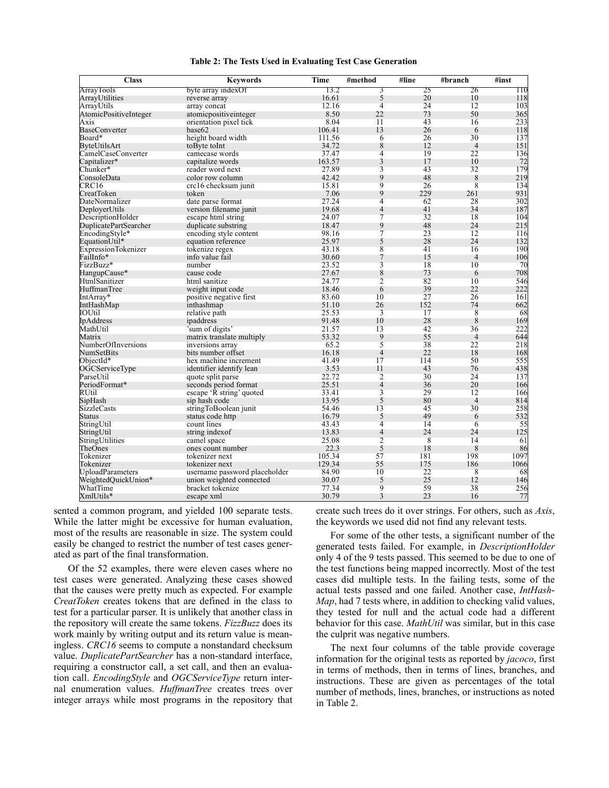| <b>Class</b>                 | <b>Keywords</b>                                           | <b>Time</b> | #method        | $\overline{\text{H}}$ line | #branch        | #inst |
|------------------------------|-----------------------------------------------------------|-------------|----------------|----------------------------|----------------|-------|
| ArrayTools                   | byte array indexOf                                        | 13.2        | 3              | 25                         | 26             | 110   |
| ArrayUtilities               | reverse array                                             | 16.61       | 5              | 20                         | 10             | 118   |
| ArrayUtils                   | array concat                                              | 12.16       | $\overline{4}$ | 24                         | 12             | 103   |
| <b>AtomicPositiveInteger</b> | atomicpositiveinteger                                     | 8.50        | 22             | 73                         | 50             | 365   |
| Axis                         | orientation pixel tick                                    | 8.04        | 11             | 43                         | 16             | 233   |
| <b>BaseConverter</b>         | base <sub>62</sub>                                        | 106.41      | 13             | 26                         | 6              | 118   |
| Board*                       | height board width                                        | 111.56      | 6              | 26                         | 30             | 137   |
| ByteUtilsArt                 | to Byte to Int                                            | 34.72       | 8              | 12                         | $\overline{4}$ | 151   |
| CamelCaseConverter           | camecase words                                            | 37.47       | 4              | 19                         | 22             | 136   |
| Capitalizer*                 | capitalize words                                          | 163.57      | 3              | 17                         | 10             | 72    |
| Chunker*                     | reader word next                                          | 27.89       | 3              | 43                         | 32             | 179   |
| ConsoleData                  | color row column                                          | 42.42       | 9              | 48                         | 8              | 219   |
| CRC16                        | crc16 checksum junit                                      | 15.81       | 9              | 26                         | 8              | 134   |
| CreatToken                   | token                                                     | 7.06        | 9              | 229                        | 261            | 931   |
| DateNormalizer               | date parse format                                         | 27.24       | 4              | 62                         | 28             | 302   |
| DeployerUtils                | version filename junit                                    | 19.68       | 4              | 41                         | 34             | 187   |
| DescriptionHolder            | escape html string                                        | 24.07       | 7              | 32                         | 18             | 104   |
| DuplicatePartSearcher        | duplicate substring                                       | 18.47       | 9              | 48                         | 24             | 215   |
| EncodingStyle*               | encoding style content                                    | 98.16       | $\overline{7}$ | 23                         | 12             | 116   |
| EquationUtil*                | equation reference                                        | 25.97       | 5              | 28                         | 24             | 132   |
| <b>ExpressionTokenizer</b>   | tokenize regex                                            | 43.18       | 8              | 41                         | 16             | 190   |
| FailInfo*                    | info value fail                                           | 30.60       | 7              | 15                         | $\overline{4}$ | 106   |
| FizzBuzz*                    | number                                                    | 23.52       | 3              | 18                         | 10             | 70    |
| HangupCause*                 | cause code                                                | 27.67       | 8              | 73                         | 6              | 708   |
| HtmlSanitizer                | html sanitize                                             | 24.77       | $\overline{c}$ | 82                         | 10             | 546   |
| HuffmanTree                  | weight input code                                         | 18.46       | 6              | 39                         | 22             | 222   |
| IntArray*                    | positive negative first                                   | 83.60       | 10             | 27                         | 26             | 161   |
| IntHashMap                   | inthashmap                                                | 51.10       | 26             | 152                        | 74             | 662   |
| IOUtil                       | relative path                                             | 25.53       | 3              | 17                         | 8              | 68    |
| IpAddress                    | ipaddress                                                 | 91.48       | 10             | 28                         | 8              | 169   |
| MathUtil                     | 'sum of digits'                                           | 21.57       | 13             | 42                         | 36             | 222   |
| Matrix                       | matrix translate multiply                                 | 53.32       | 9              | 55                         | $\overline{4}$ | 644   |
| NumberOfInversions           | inversions array                                          | 65.2        | 5              | 38                         | 22             | 218   |
| NumSetBits                   | bits number offset                                        | 16.18       | $\overline{4}$ | 22                         | 18             | 168   |
| $ObjectId^*$                 | hex machine increment                                     | 41.49       | 17             | 114                        | 50             | 555   |
| OGCServiceType               | identifier identify lean                                  | 3.53        | 11             | 43                         | 76             | 438   |
| ParseUtil                    | quote split parse                                         | 22.72       | $\overline{2}$ | 30                         | 24             | 137   |
| PeriodFormat*                | seconds period format                                     | 25.51       | 4              | 36                         | 20             | 166   |
| RUtil                        | escape 'R string' quoted                                  | 33.41       | 3              | 29                         | 12             | 166   |
| SipHash                      | sip hash code                                             | 13.95       | 5              | 80                         | $\overline{4}$ | 814   |
| SizzleCasts                  | stringToBoolean junit                                     | 54.46       | 13             | 45                         | 30             | 258   |
| Status                       | status code http                                          | 16.79       | 5              | 49                         | 6              | 532   |
| StringUtil                   | count lines                                               | 43.43       | 4              | 14                         | 6              | 55    |
| StringUtil                   | string index of                                           | 13.83       | $\overline{4}$ | 24                         | 24             | 125   |
| StringUtilities              | camel space                                               | 25.08       | $\overline{2}$ | 8                          | 14             | 61    |
| TheOnes                      | ones count number                                         | 22.3        | 5              | 18                         | 8              | 86    |
| Tokenizer                    | tokenizer next                                            | 105.34      | 57             | 181                        | 198            | 1097  |
| Tokenizer                    | tokenizer next                                            | 129.34      | 55             | 175                        | 186            | 1066  |
| UploadParameters             |                                                           | 84.90       | 10             | 22                         | 8              | 68    |
| WeightedQuickUnion*          | username password placeholder<br>union weighted connected | 30.07       | 5              | 25                         | 12             | 146   |
| WhatTime                     | bracket tokenize                                          | 77.34       | 9              | 59                         | 38             | 256   |
| XmlUtils*                    | escape xml                                                | 30.79       | 3              | 23                         | 16             | 77    |
|                              |                                                           |             |                |                            |                |       |

**Table 2: The Tests Used in Evaluating Test Case Generation**

sented a common program, and yielded 100 separate tests. While the latter might be excessive for human evaluation, most of the results are reasonable in size. The system could easily be changed to restrict the number of test cases generated as part of the final transformation.

Of the 52 examples, there were eleven cases where no test cases were generated. Analyzing these cases showed that the causes were pretty much as expected. For example *CreatToken* creates tokens that are defined in the class to test for a particular parser. It is unlikely that another class in the repository will create the same tokens. *FizzBuzz* does its work mainly by writing output and its return value is meaningless. *CRC16* seems to compute a nonstandard checksum value. *DuplicatePartSearcher* has a non-standard interface, requiring a constructor call, a set call, and then an evaluation call. *EncodingStyle* and *OGCServiceType* return internal enumeration values. *HuffmanTree* creates trees over integer arrays while most programs in the repository that

create such trees do it over strings. For others, such as *Axis*, the keywords we used did not find any relevant tests.

For some of the other tests, a significant number of the generated tests failed. For example, in *DescriptionHolder* only 4 of the 9 tests passed. This seemed to be due to one of the test functions being mapped incorrectly. Most of the test cases did multiple tests. In the failing tests, some of the actual tests passed and one failed. Another case, *IntHash-Map*, had 7 tests where, in addition to checking valid values, they tested for null and the actual code had a different behavior for this case. *MathUtil* was similar, but in this case the culprit was negative numbers.

The next four columns of the table provide coverage information for the original tests as reported by *jacoco*, first in terms of methods, then in terms of lines, branches, and instructions. These are given as percentages of the total number of methods, lines, branches, or instructions as noted in Table 2.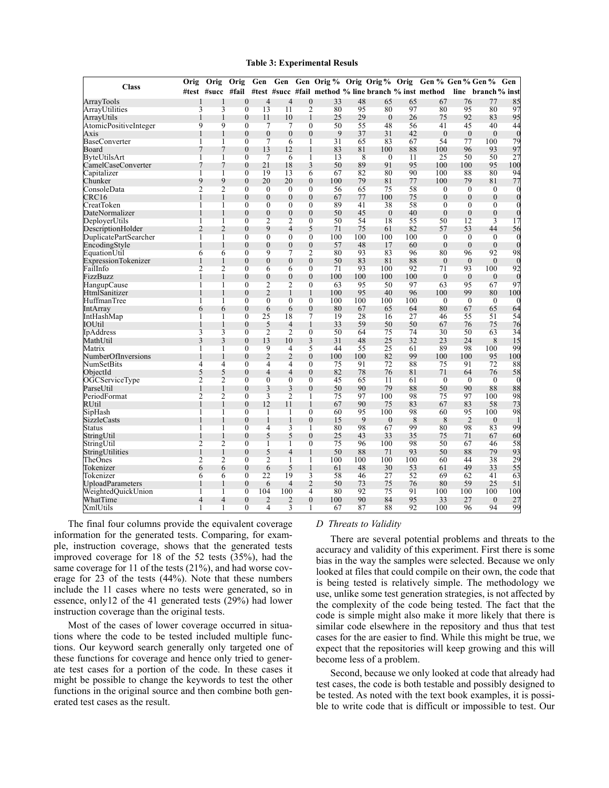#### **Table 3: Experimental Resuls**

|                            | Orig           | Orig           | Orig             | Gen            | Gen            |                  | Gen Orig % Orig Orig % Orig |     |                |     | Gen % Gen % Gen %                                                                         |                |                  | Gen            |
|----------------------------|----------------|----------------|------------------|----------------|----------------|------------------|-----------------------------|-----|----------------|-----|-------------------------------------------------------------------------------------------|----------------|------------------|----------------|
| <b>Class</b>               |                |                |                  |                |                |                  |                             |     |                |     | #test #succ #fail #test #succ #fail method % line branch % inst method line branch % inst |                |                  |                |
| ArrayTools                 | 1              | 1              | $\theta$         | $\overline{4}$ | 4              | $\overline{0}$   | 33                          | 48  | 65             | 65  | 67                                                                                        | 76             | 77               | 85             |
| ArrayUtilities             | 3              | 3              | $\overline{0}$   | 13             | 11             | $\overline{2}$   | 80                          | 95  | 80             | 97  | 80                                                                                        | 95             | 80               | 97             |
| ArrayUtils                 | 1              | 1              | $\theta$         | 11             | 10             | 1                | 25                          | 29  | $\theta$       | 26  | 75                                                                                        | 92             | 83               | 95             |
| AtomicPositiveInteger      | 9              | 9              | $\overline{0}$   | $\overline{7}$ | 7              | $\overline{0}$   | 50                          | 55  | 48             | 56  | 41                                                                                        | 45             | 40               | 44             |
| <b>Axis</b>                | 1              | 1              | $\Omega$         | $\theta$       | $\theta$       | $\theta$         | 9                           | 37  | 31             | 42  | $\theta$                                                                                  | $\overline{0}$ | $\theta$         | $\Omega$       |
| <b>BaseConverter</b>       | 1              | 1              | $\overline{0}$   | 7              | 6              | 1                | 31                          | 65  | 83             | 67  | 54                                                                                        | 77             | 100              | 79             |
| Board                      | 7              | 7              | $\Omega$         | 13             | 12             | 1                | 83                          | 81  | 100            | 88  | 100                                                                                       | 96             | 93               | 97             |
| ByteUtilsArt               | 1              | 1              | $\overline{0}$   | $\overline{7}$ | 6              | T                | 13                          | 8   | $\overline{0}$ | 11  | 25                                                                                        | 50             | 50               | 27             |
| CamelCaseConverter         | 7              | 7              | $\theta$         | 21             | 18             | 3                | 50                          | 89  | 91             | 95  | 100                                                                                       | 100            | 95               | 100            |
| Capitalizer                | T              | T              | $\theta$         | 19             | 13             | 6                | 67                          | 82  | 80             | 90  | 100                                                                                       | 88             | 80               | 94             |
| Chunker                    | 9              | 9              | $\theta$         | 20             | 20             | $\boldsymbol{0}$ | 100                         | 79  | 81             | 77  | 100                                                                                       | 79             | 81               | 77             |
| ConsoleData                | $\overline{2}$ | $\overline{c}$ | $\overline{0}$   | $\overline{0}$ | $\theta$       | $\overline{0}$   | 56                          | 65  | 75             | 58  | $\overline{0}$                                                                            | $\overline{0}$ | $\overline{0}$   |                |
| CRC16                      | 1              | 1              | $\theta$         | $\Omega$       | $\theta$       | $\theta$         | 67                          | 77  | 100            | 75  | $\theta$                                                                                  | $\theta$       | $\overline{0}$   | $\sqrt{ }$     |
| CreatToken                 | 1              | 1              | $\overline{0}$   | $\overline{0}$ | 0              | $\overline{0}$   | 89                          | 41  | 38             | 58  | $\theta$                                                                                  | $\theta$       | $\overline{0}$   |                |
| DateNormalizer             |                | 1              | $\theta$         | $\theta$       | 0              | $\overline{0}$   | 50                          | 45  | $\overline{0}$ | 40  | $\theta$                                                                                  | $\mathbf{0}$   | $\boldsymbol{0}$ | $\overline{0}$ |
| DeploverUtils              | 1              | $\mathbf{1}$   | $\theta$         | $\overline{2}$ | $\overline{c}$ | $\overline{0}$   | 50                          | 54  | 18             | 55  | 50                                                                                        | 12             | 3                | 17             |
| DescriptionHolder          | $\overline{2}$ | $\overline{2}$ | $\theta$         | 9              | 4              | 5                | 71                          | 75  | 61             | 82  | 57                                                                                        | 53             | 44               | 56             |
| DuplicatePartSearcher      | T              | 1              | $\overline{0}$   | $\overline{0}$ | $\overline{0}$ | $\overline{0}$   | 100                         | 100 | 100            | 100 | $\overline{0}$                                                                            | $\theta$       | $\overline{0}$   |                |
| EncodingStyle              | 1              | 1              | $\theta$         | $\overline{0}$ | 0              | $\overline{0}$   | 57                          | 48  | 17             | 60  | $\theta$                                                                                  | $\theta$       | $\theta$         | $\theta$       |
| EquationUtil               | 6              | 6              | $\boldsymbol{0}$ | 9              | 7              | 2                | 80                          | 93  | 83             | 96  | 80                                                                                        | 96             | 92               | 98             |
| <b>ExpressionTokenizer</b> | 1              | 1              | $\Omega$         | $\Omega$       | $\theta$       | $\theta$         | 50                          | 83  | 81             | 88  | $\theta$                                                                                  | $\Omega$       | $\Omega$         |                |
| FailInfo                   | $\overline{2}$ | $\overline{c}$ | $\overline{0}$   | 6              | 6              | $\overline{0}$   | 71                          | 93  | 100            | 92  | 71                                                                                        | 93             | 100              | 92             |
| FizzBuzz                   | 1              | 1              | $\Omega$         | $\mathbf{0}$   | 0              | $\theta$         | 100                         | 100 | 100            | 100 | $\Omega$                                                                                  | $\theta$       | $\mathbf{0}$     | $\Omega$       |
| HangupCause                | 1              | 1              | $\overline{0}$   | $\overline{2}$ | 2              | $\overline{0}$   | 63                          | 95  | 50             | 97  | 63                                                                                        | 95             | 67               | 97             |
| HtmlSanitizer              | 1              | 1              | $\theta$         | 2              | 1              | 1                | 100                         | 95  | 40             | 96  | 100                                                                                       | 99             | 80               | 100            |
| HuffmanTree                | T              | 1              | $\overline{0}$   | $\overline{0}$ | $\overline{0}$ | $\overline{0}$   | 100                         | 100 | 100            | 100 | $\theta$                                                                                  | $\Omega$       | $\overline{0}$   |                |
| IntArray                   | 6              | 6              | $\overline{0}$   | 6              | 6              | $\overline{0}$   | 80                          | 67  | 65             | 64  | 80                                                                                        | 67             | 65               | 64             |
| IntHashMap                 | 1              | T              | $\overline{0}$   | 25             | 18             | 7                | 19                          | 28  | 16             | 27  | 46                                                                                        | 55             | 51               | 54             |
| IOUtil                     | 1              | 1              | $\boldsymbol{0}$ | 5              | 4              | 1                | 33                          | 59  | 50             | 50  | 67                                                                                        | 76             | 75               | 76             |
| IpAddress                  | 3              | 3              | $\Omega$         | $\overline{2}$ | $\overline{c}$ | $\overline{0}$   | 50                          | 64  | 75             | 74  | 30                                                                                        | 50             | 63               | 34             |
| MathUtil                   | 3              | 3              | $\theta$         | 13             | 10             | 3                | 31                          | 48  | 25             | 32  | 23                                                                                        | 24             | 8                | 15             |
| Matrix                     | 1              | 1              | $\overline{0}$   | 9              | 4              | 5                | 44                          | 55  | 25             | 61  | 89                                                                                        | 98             | 100              | 99             |
| NumberOfInversions         | 1              | 1              | $\theta$         | $\overline{2}$ | 2              | $\overline{0}$   | 100                         | 100 | 82             | 99  | 100                                                                                       | 100            | 95               | 100            |
| NumSetBits                 | 4              | $\overline{4}$ | $\overline{0}$   | 4              | 4              | $\overline{0}$   | 75                          | 91  | 72             | 88  | 75                                                                                        | 91             | 72               | 88             |
| ObiectId                   | 5              | 5              | $\Omega$         | $\overline{4}$ | 4              | $\Omega$         | 82                          | 78  | 76             | 81  | 71                                                                                        | 64             | 76               | 58             |
| OĞCServiceType             | $\overline{c}$ | $\overline{2}$ | $\theta$         | $\overline{0}$ | $\overline{0}$ | $\overline{0}$   | 45                          | 65  | 11             | 61  | $\theta$                                                                                  | $\overline{0}$ | $\overline{0}$   | $\Omega$       |
| ParseUtil                  | 1              | 1              | $\overline{0}$   | 3              | 3              | $\overline{0}$   | 50                          | 90  | 79             | 88  | 50                                                                                        | 90             | 88               | 88             |
| PeriodFormat               | $\overline{2}$ | 2              | $\overline{0}$   | 3              | 2              | 1                | 75                          | 97  | 100            | 98  | 75                                                                                        | 97             | 100              | 98             |
| RUtil                      | 1              | 1              | $\theta$         | 12             | 11             | 1                | 67                          | 90  | 75             | 83  | 67                                                                                        | 83             | 58               | 73             |
| SipHash                    | T              | 1              | $\overline{0}$   | T              | 1              | $\overline{0}$   | 60                          | 95  | 100            | 98  | 60                                                                                        | 95             | 100              | 98             |
| SizzleCasts                |                | 1              | $\Omega$         | 1              | 1              | $\theta$         | 15                          | 9   | $\theta$       | 8   | 8                                                                                         | $\overline{2}$ | $\Omega$         |                |
| Status                     | 1              | 1              | $\overline{0}$   | $\overline{4}$ | 3              | 1                | 80                          | 98  | 67             | 99  | 80                                                                                        | 98             | 83               | 99             |
| StringUtil                 | 1              | 1              | $\theta$         | 5              | 5              | $\overline{0}$   | 25                          | 43  | 33             | 35  | 75                                                                                        | 71             | 67               | 60             |
| StringUtil                 | $\overline{c}$ | $\overline{2}$ | $\overline{0}$   | 1              | 1              | $\Omega$         | 75                          | 96  | 100            | 98  | 50                                                                                        | 67             | 46               | 58             |
| StringUtilities            | 1              | 1              | $\theta$         | 5              | 4              | 1                | 50                          | 88  | 71             | 93  | 50                                                                                        | 88             | 79               | 93             |
| TheOnes                    | $\overline{2}$ | $\overline{2}$ | $\overline{0}$   | $\overline{2}$ | 1              | T                | 100                         | 100 | 100            | 100 | 60                                                                                        | 44             | 38               | 29             |
| Tokenizer                  | 6              | 6              | $\theta$         | 6              | 5              | 1                | 61                          | 48  | 30             | 53  | 61                                                                                        | 49             | 33               | 55             |
| Tokenizer                  | 6              | 6              | $\overline{0}$   | 22             | 19             | 3                | 58                          | 46  | 27             | 52  | 69                                                                                        | 62             | 41               | 63             |
| <b>UploadParameters</b>    | 1              | 1              | $\theta$         | 6              | 4              | 2                | 50                          | 73  | 75             | 76  | 80                                                                                        | 59             | 25               | 51             |
| WeightedOuickUnion         | 1              | 1              | $\overline{0}$   | 104            | 100            | $\overline{4}$   | 80                          | 92  | 75             | 91  | 100                                                                                       | 100            | 100              | 100            |
| WhatTime                   | 4              | $\overline{4}$ | $\theta$         | 2              | 2              | $\overline{0}$   | 100                         | 90  | 84             | 95  | 33                                                                                        | 27             | $\overline{0}$   | 27             |
| XmlUtils                   | 1              | 1              | $\overline{0}$   | 4              | 3              | 1                | 67                          | 87  | 88             | 92  | 100                                                                                       | 96             | 94               | 99             |

The final four columns provide the equivalent coverage information for the generated tests. Comparing, for example, instruction coverage, shows that the generated tests improved coverage for 18 of the 52 tests (35%), had the same coverage for 11 of the tests (21%), and had worse coverage for 23 of the tests (44%). Note that these numbers include the 11 cases where no tests were generated, so in essence, only12 of the 41 generated tests (29%) had lower instruction coverage than the original tests.

Most of the cases of lower coverage occurred in situations where the code to be tested included multiple functions. Our keyword search generally only targeted one of these functions for coverage and hence only tried to generate test cases for a portion of the code. In these cases it might be possible to change the keywords to test the other functions in the original source and then combine both generated test cases as the result.

# *D Threats to Validity*

There are several potential problems and threats to the accuracy and validity of this experiment. First there is some bias in the way the samples were selected. Because we only looked at files that could compile on their own, the code that is being tested is relatively simple. The methodology we use, unlike some test generation strategies, is not affected by the complexity of the code being tested. The fact that the code is simple might also make it more likely that there is similar code elsewhere in the repository and thus that test cases for the are easier to find. While this might be true, we expect that the repositories will keep growing and this will become less of a problem.

Second, because we only looked at code that already had test cases, the code is both testable and possibly designed to be tested. As noted with the text book examples, it is possible to write code that is difficult or impossible to test. Our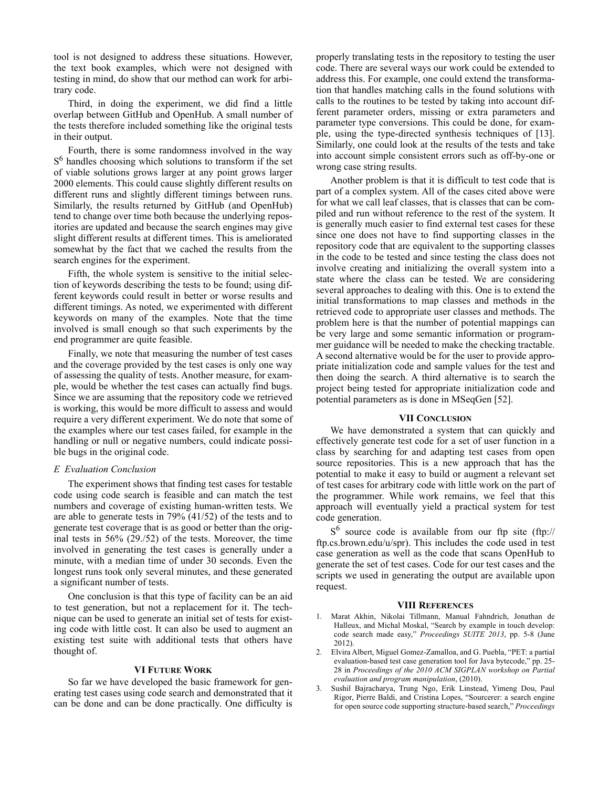tool is not designed to address these situations. However, the text book examples, which were not designed with testing in mind, do show that our method can work for arbitrary code.

Third, in doing the experiment, we did find a little overlap between GitHub and OpenHub. A small number of the tests therefore included something like the original tests in their output.

Fourth, there is some randomness involved in the way S<sup>6</sup> handles choosing which solutions to transform if the set of viable solutions grows larger at any point grows larger 2000 elements. This could cause slightly different results on different runs and slightly different timings between runs. Similarly, the results returned by GitHub (and OpenHub) tend to change over time both because the underlying repositories are updated and because the search engines may give slight different results at different times. This is ameliorated somewhat by the fact that we cached the results from the search engines for the experiment.

Fifth, the whole system is sensitive to the initial selection of keywords describing the tests to be found; using different keywords could result in better or worse results and different timings. As noted, we experimented with different keywords on many of the examples. Note that the time involved is small enough so that such experiments by the end programmer are quite feasible.

Finally, we note that measuring the number of test cases and the coverage provided by the test cases is only one way of assessing the quality of tests. Another measure, for example, would be whether the test cases can actually find bugs. Since we are assuming that the repository code we retrieved is working, this would be more difficult to assess and would require a very different experiment. We do note that some of the examples where our test cases failed, for example in the handling or null or negative numbers, could indicate possible bugs in the original code.

# *E Evaluation Conclusion*

The experiment shows that finding test cases for testable code using code search is feasible and can match the test numbers and coverage of existing human-written tests. We are able to generate tests in 79% (41/52) of the tests and to generate test coverage that is as good or better than the original tests in 56% (29./52) of the tests. Moreover, the time involved in generating the test cases is generally under a minute, with a median time of under 30 seconds. Even the longest runs took only several minutes, and these generated a significant number of tests.

One conclusion is that this type of facility can be an aid to test generation, but not a replacement for it. The technique can be used to generate an initial set of tests for existing code with little cost. It can also be used to augment an existing test suite with additional tests that others have thought of.

# **VI FUTURE WORK**

So far we have developed the basic framework for generating test cases using code search and demonstrated that it can be done and can be done practically. One difficulty is

properly translating tests in the repository to testing the user code. There are several ways our work could be extended to address this. For example, one could extend the transformation that handles matching calls in the found solutions with calls to the routines to be tested by taking into account different parameter orders, missing or extra parameters and parameter type conversions. This could be done, for example, using the type-directed synthesis techniques of [13]. Similarly, one could look at the results of the tests and take into account simple consistent errors such as off-by-one or wrong case string results.

Another problem is that it is difficult to test code that is part of a complex system. All of the cases cited above were for what we call leaf classes, that is classes that can be compiled and run without reference to the rest of the system. It is generally much easier to find external test cases for these since one does not have to find supporting classes in the repository code that are equivalent to the supporting classes in the code to be tested and since testing the class does not involve creating and initializing the overall system into a state where the class can be tested. We are considering several approaches to dealing with this. One is to extend the initial transformations to map classes and methods in the retrieved code to appropriate user classes and methods. The problem here is that the number of potential mappings can be very large and some semantic information or programmer guidance will be needed to make the checking tractable. A second alternative would be for the user to provide appropriate initialization code and sample values for the test and then doing the search. A third alternative is to search the project being tested for appropriate initialization code and potential parameters as is done in MSeqGen [52].

# **VII CONCLUSION**

We have demonstrated a system that can quickly and effectively generate test code for a set of user function in a class by searching for and adapting test cases from open source repositories. This is a new approach that has the potential to make it easy to build or augment a relevant set of test cases for arbitrary code with little work on the part of the programmer. While work remains, we feel that this approach will eventually yield a practical system for test code generation.

 $S^6$  source code is available from our ftp site (ftp:// ftp.cs.brown.edu/u/spr). This includes the code used in test case generation as well as the code that scans OpenHub to generate the set of test cases. Code for our test cases and the scripts we used in generating the output are available upon request.

# **VIII REFERENCES**

- 1. Marat Akhin, Nikolai Tillmann, Manual Fahndrich, Jonathan de Halleux, and Michal Moskal, "Search by example in touch develop: code search made easy," *Proceedings SUITE 2013*, pp. 5-8 (June 2012).
- 2. Elvira Albert, Miguel Gomez-Zamalloa, and G. Puebla, "PET: a partial evaluation-based test case generation tool for Java bytecode," pp. 25- 28 in *Proceedings of the 2010 ACM SIGPLAN workshop on Partial evaluation and program manipulation*, (2010).
- 3. Sushil Bajracharya, Trung Ngo, Erik Linstead, Yimeng Dou, Paul Rigor, Pierre Baldi, and Cristina Lopes, "Sourcerer: a search engine for open source code supporting structure-based search," *Proceedings*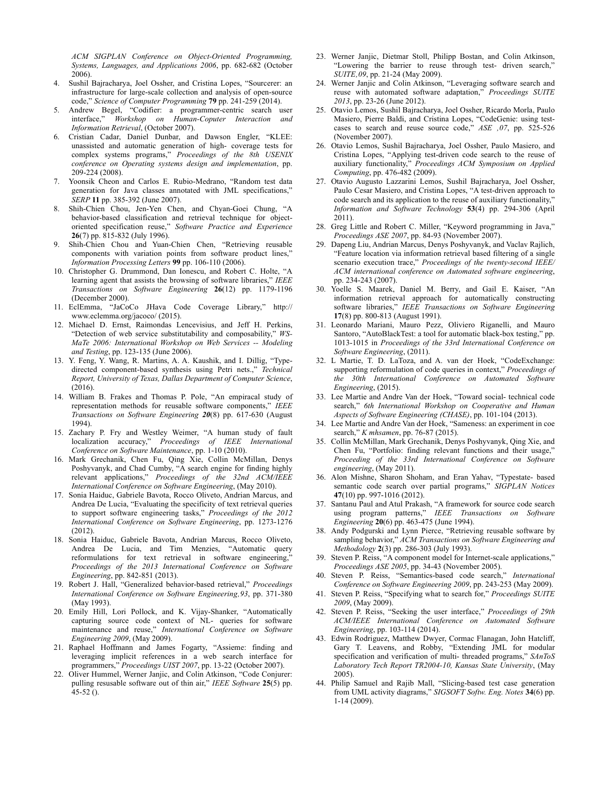*ACM SIGPLAN Conference on Object-Oriented Programming, Systems, Languages, and Applications 2006*, pp. 682-682 (October 2006).

- 4. Sushil Bajracharya, Joel Ossher, and Cristina Lopes, "Sourcerer: an infrastructure for large-scale collection and analysis of open-source code," *Science of Computer Programming* **79** pp. 241-259 (2014).
- 5. Andrew Begel, "Codifier: a programmer-centric search user interface," *Workshop on Human-Coputer Interaction and Information Retrieval*, (October 2007).
- 6. Cristian Cadar, Daniel Dunbar, and Dawson Engler, "KLEE: unassisted and automatic generation of high- coverage tests for complex systems programs," *Proceedings of the 8th USENIX conference on Operating systems design and implementation*, pp. 209-224 (2008).
- 7. Yoonsik Cheon and Carlos E. Rubio-Medrano, "Random test data generation for Java classes annotated with JML specifications," *SERP* **11** pp. 385-392 (June 2007).
- 8. Shih-Chien Chou, Jen-Yen Chen, and Chyan-Goei Chung, "A behavior-based classification and retrieval technique for objectoriented specification reuse," *Software Practice and Experience* **26**(7) pp. 815-832 (July 1996).
- 9. Shih-Chien Chou and Yuan-Chien Chen, "Retrieving reusable components with variation points from software product lines," *Information Processing Letters* **99** pp. 106-110 (2006).
- 10. Christopher G. Drummond, Dan Ionescu, and Robert C. Holte, "A learning agent that assists the browsing of software libraries," *IEEE Transactions on Software Engineering* **26**(12) pp. 1179-1196 (December 2000).
- 11. EclEmma, "JaCoCo JHava Code Coverage Library," http:// www.eclemma.org/jacoco/ (2015).
- 12. Michael D. Ernst, Raimondas Lencevisius, and Jeff H. Perkins, "Detection of web service substitutability and composability," *WS-MaTe 2006: International Workshop on Web Services -- Modeling and Testing*, pp. 123-135 (June 2006).
- 13. Y. Feng, Y. Wang, R. Martins, A. A. Kaushik, and I. Dillig, "Typedirected component-based synthesis using Petri nets.," *Technical Report, University of Texas, Dallas Department of Computer Science*, (2016).
- 14. William B. Frakes and Thomas P. Pole, "An empiracal study of representation methods for reusable software components," *IEEE Transactions on Software Engineering 20*(8) pp. 617-630 (August 1994).
- 15. Zachary P. Fry and Westley Weimer, "A human study of fault localization accuracy," *Proceedings of IEEE International Conference on Software Maintenance*, pp. 1-10 (2010).
- 16. Mark Grechanik, Chen Fu, Qing Xie, Collin McMillan, Denys Poshyvanyk, and Chad Cumby, "A search engine for finding highly relevant applications," *Proceedings of the 32nd ACM/IEEE International Conference on Software Engineering*, (May 2010).
- 17. Sonia Haiduc, Gabriele Bavota, Rocco Oliveto, Andrian Marcus, and Andrea De Lucia, "Evaluating the specificity of text retrieval queries to support software engineering tasks," *Proceedings of the 2012 International Conference on Software Engineering*, pp. 1273-1276 (2012).
- 18. Sonia Haiduc, Gabriele Bavota, Andrian Marcus, Rocco Oliveto, Andrea De Lucia, and Tim Menzies, "Automatic query reformulations for text retrieval in software engineering," *Proceedings of the 2013 International Conference on Software Engineering*, pp. 842-851 (2013).
- 19. Robert J. Hall, "Generalized behavior-based retrieval," *Proceedings International Conference on Software Engineering'93*, pp. 371-380 (May 1993).
- 20. Emily Hill, Lori Pollock, and K. Vijay-Shanker, "Automatically capturing source code context of NL- queries for software maintenance and reuse," *International Conference on Software Engineering 2009*, (May 2009).
- 21. Raphael Hoffmann and James Fogarty, "Assieme: finding and leveraging implicit references in a web search interface for programmers," *Proceedings UIST 2007*, pp. 13-22 (October 2007).
- 22. Oliver Hummel, Werner Janjic, and Colin Atkinson, "Code Conjurer: pulling resusable software out of thin air," *IEEE Software* **25**(5) pp.  $45 - 52$  ().
- 23. Werner Janjic, Dietmar Stoll, Philipp Bostan, and Colin Atkinson, "Lowering the barrier to reuse through test- driven search," *SUITE, 09*, pp. 21-24 (May 2009).
- 24. Werner Janjic and Colin Atkinson, "Leveraging software search and reuse with automated software adaptation," *Proceedings SUITE 2013*, pp. 23-26 (June 2012).
- 25. Otavio Lemos, Sushil Bajracharya, Joel Ossher, Ricardo Morla, Paulo Masiero, Pierre Baldi, and Cristina Lopes, "CodeGenie: using testcases to search and reuse source code,"  $ASE$   $,07$ , pp. 525-526 (November 2007).
- 26. Otavio Lemos, Sushil Bajracharya, Joel Ossher, Paulo Masiero, and Cristina Lopes, "Applying test-driven code search to the reuse of auxiliary functionality," *Proceedings ACM Symposium on Applied Computing*, pp. 476-482 (2009).
- 27. Otavio Augusto Lazzarini Lemos, Sushil Bajracharya, Joel Ossher, Paulo Cesar Masiero, and Cristina Lopes, "A test-driven approach to code search and its application to the reuse of auxiliary functionality," *Information and Software Technology* **53**(4) pp. 294-306 (April 2011).
- 28. Greg Little and Robert C. Miller, "Keyword programming in Java," *Proceedings ASE 2007*, pp. 84-93 (November 2007).
- 29. Dapeng Liu, Andrian Marcus, Denys Poshyvanyk, and Vaclav Rajlich, "Feature location via information retrieval based filtering of a single scenario execution trace," *Proceedings of the twenty-second IEEE/ ACM international conference on Automated software engineering*, pp. 234-243 (2007).
- 30. Yoelle S. Maarek, Daniel M. Berry, and Gail E. Kaiser, "An information retrieval approach for automatically constructing software libraries," *IEEE Transactions on Software Engineering* **17**(8) pp. 800-813 (August 1991).
- 31. Leonardo Mariani, Mauro Pezz, Oliviero Riganelli, and Mauro Santoro, "AutoBlackTest: a tool for automatic black-box testing," pp. 1013-1015 in *Proceedings of the 33rd International Conference on Software Engineering*, (2011).
- 32. L Martie, T. D. LaToza, and A. van der Hoek, "CodeExchange: supporting reformulation of code queries in context," *Proceedings of the 30th International Conference on Automated Software Engineering*, (2015).
- 33. Lee Martie and Andre Van der Hoek, "Toward social- technical code search," *6th International Workshop on Cooperative and Human Aspects of Software Engineering (CHASE)*, pp. 101-104 (2013).
- 34. Lee Martie and Andre Van der Hoek, "Sameness: an experiment in coe search," *K mhsamen*, pp. 76-87 (2015).
- 35. Collin McMillan, Mark Grechanik, Denys Poshyvanyk, Qing Xie, and Chen Fu, "Portfolio: finding relevant functions and their usage," *Proceeding of the 33rd International Conference on Software engineering*, (May 2011).
- 36. Alon Mishne, Sharon Shoham, and Eran Yahav, "Typestate- based semantic code search over partial programs," *SIGPLAN Notices* **47**(10) pp. 997-1016 (2012).
- 37. Santanu Paul and Atul Prakash, "A framework for source code search using program patterns," *IEEE Transactions on Software Engineering* **20**(6) pp. 463-475 (June 1994).
- 38. Andy Podgurski and Lynn Pierce, "Retrieving reusable software by sampling behavior," *ACM Transactions on Software Engineering and Methodology* **2**(3) pp. 286-303 (July 1993).
- 39. Steven P. Reiss, "A component model for Internet-scale applications," *Proceedings ASE 2005*, pp. 34-43 (November 2005).
- 40. Steven P. Reiss, "Semantics-based code search," *International Conference on Software Engineering 2009*, pp. 243-253 (May 2009).
- 41. Steven P. Reiss, "Specifying what to search for," *Proceedings SUITE 2009*, (May 2009).
- 42. Steven P. Reiss, "Seeking the user interface," *Proceedings of 29th ACM/IEEE International Conference on Automated Software Engineering*, pp. 103-114 (2014).
- 43. Edwin Rodriguez, Matthew Dwyer, Cormac Flanagan, John Hatcliff, Gary T. Leavens, and Robby, "Extending JML for modular specification and verification of multi- threaded programs," *SAnToS Laboratory Tech Report TR2004-10, Kansas State University*, (May 2005).
- 44. Philip Samuel and Rajib Mall, "Slicing-based test case generation from UML activity diagrams," *SIGSOFT Softw. Eng. Notes* **34**(6) pp. 1-14 (2009).